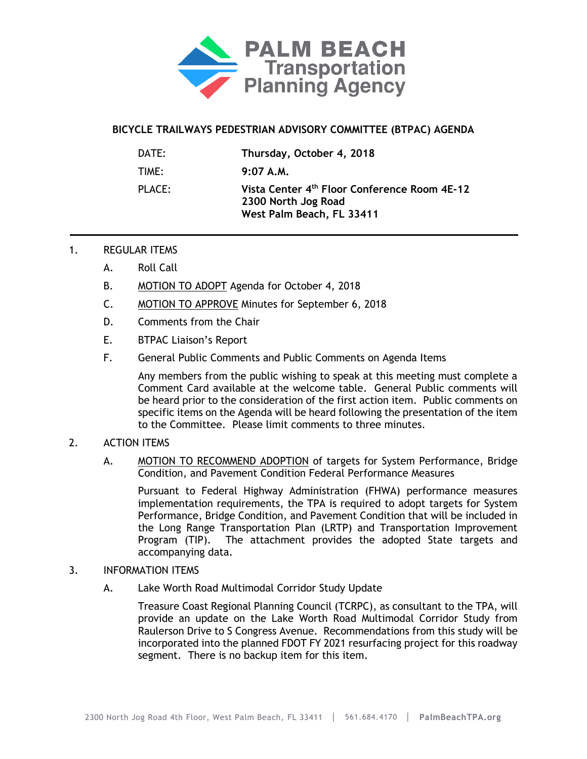

## **BICYCLE TRAILWAYS PEDESTRIAN ADVISORY COMMITTEE (BTPAC) AGENDA**

| DATE:  | Thursday, October 4, 2018                                                                                    |
|--------|--------------------------------------------------------------------------------------------------------------|
| TIME:  | $9:07$ A.M.                                                                                                  |
| PLACE: | Vista Center 4 <sup>th</sup> Floor Conference Room 4E-12<br>2300 North Jog Road<br>West Palm Beach, FL 33411 |

## 1. REGULAR ITEMS

- A. Roll Call
- B. MOTION TO ADOPT Agenda for October 4, 2018
- C. MOTION TO APPROVE Minutes for September 6, 2018
- D. Comments from the Chair
- E. BTPAC Liaison's Report
- F. General Public Comments and Public Comments on Agenda Items

Any members from the public wishing to speak at this meeting must complete a Comment Card available at the welcome table. General Public comments will be heard prior to the consideration of the first action item. Public comments on specific items on the Agenda will be heard following the presentation of the item to the Committee. Please limit comments to three minutes.

## 2. ACTION ITEMS

A. MOTION TO RECOMMEND ADOPTION of targets for System Performance, Bridge Condition, and Pavement Condition Federal Performance Measures

Pursuant to Federal Highway Administration (FHWA) performance measures implementation requirements, the TPA is required to adopt targets for System Performance, Bridge Condition, and Pavement Condition that will be included in the Long Range Transportation Plan (LRTP) and Transportation Improvement Program (TIP). The attachment provides the adopted State targets and accompanying data.

- 3. INFORMATION ITEMS
	- A. Lake Worth Road Multimodal Corridor Study Update

Treasure Coast Regional Planning Council (TCRPC), as consultant to the TPA, will provide an update on the Lake Worth Road Multimodal Corridor Study from Raulerson Drive to S Congress Avenue. Recommendations from this study will be incorporated into the planned FDOT FY 2021 resurfacing project for this roadway segment. There is no backup item for this item.